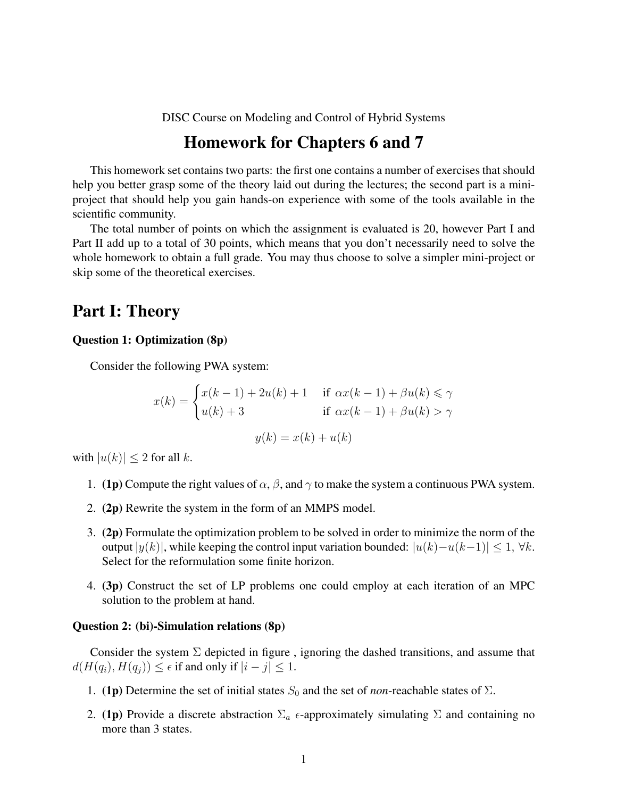DISC Course on Modeling and Control of Hybrid Systems

## Homework for Chapters 6 and 7

This homework set contains two parts: the first one contains a number of exercises that should help you better grasp some of the theory laid out during the lectures; the second part is a miniproject that should help you gain hands-on experience with some of the tools available in the scientific community.

The total number of points on which the assignment is evaluated is 20, however Part I and Part II add up to a total of 30 points, which means that you don't necessarily need to solve the whole homework to obtain a full grade. You may thus choose to solve a simpler mini-project or skip some of the theoretical exercises.

## Part I: Theory

### Question 1: Optimization (8p)

Consider the following PWA system:

$$
x(k) = \begin{cases} x(k-1) + 2u(k) + 1 & \text{if } \alpha x(k-1) + \beta u(k) \le \gamma \\ u(k) + 3 & \text{if } \alpha x(k-1) + \beta u(k) > \gamma \end{cases}
$$

$$
y(k) = x(k) + u(k)
$$

with  $|u(k)| \leq 2$  for all k.

- 1. (1p) Compute the right values of  $\alpha$ ,  $\beta$ , and  $\gamma$  to make the system a continuous PWA system.
- 2. (2p) Rewrite the system in the form of an MMPS model.
- 3. (2p) Formulate the optimization problem to be solved in order to minimize the norm of the output  $|y(k)|$ , while keeping the control input variation bounded:  $|u(k)-u(k-1)| \leq 1, \forall k$ . Select for the reformulation some finite horizon.
- 4. (3p) Construct the set of LP problems one could employ at each iteration of an MPC solution to the problem at hand.

#### Question 2: (bi)-Simulation relations (8p)

Consider the system  $\Sigma$  depicted in figure, ignoring the dashed transitions, and assume that  $d(H(q_i), H(q_j)) \leq \epsilon$  if and only if  $|i - j| \leq 1$ .

- 1. (1p) Determine the set of initial states  $S_0$  and the set of *non*-reachable states of  $\Sigma$ .
- 2. (1p) Provide a discrete abstraction  $\Sigma_a$   $\epsilon$ -approximately simulating  $\Sigma$  and containing no more than 3 states.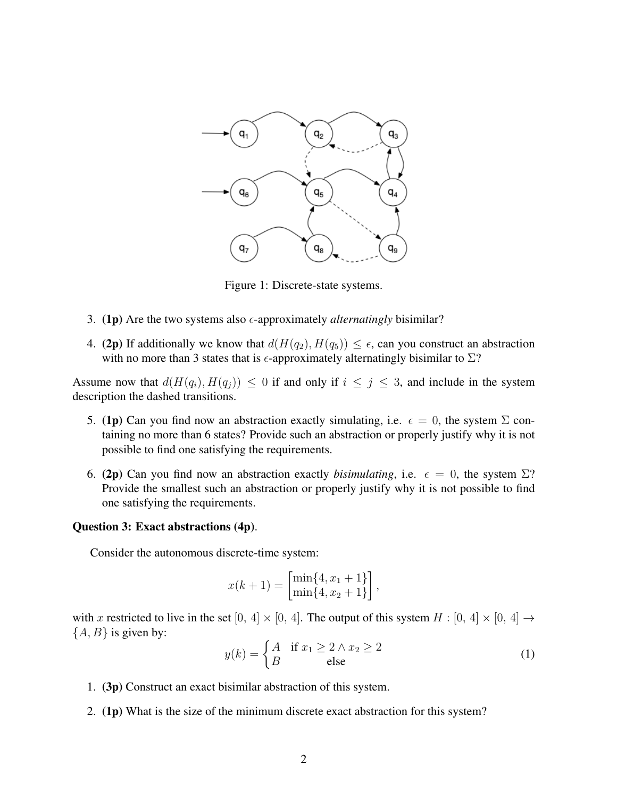

Figure 1: Discrete-state systems.

- 3. (1p) Are the two systems also  $\epsilon$ -approximately *alternatingly* bisimilar?
- 4. (2p) If additionally we know that  $d(H(q_2), H(q_5)) \leq \epsilon$ , can you construct an abstraction with no more than 3 states that is  $\epsilon$ -approximately alternatingly bisimilar to  $\Sigma$ ?

Assume now that  $d(H(q_i), H(q_j)) \leq 0$  if and only if  $i \leq j \leq 3$ , and include in the system description the dashed transitions.

- 5. (1p) Can you find now an abstraction exactly simulating, i.e.  $\epsilon = 0$ , the system  $\Sigma$  containing no more than 6 states? Provide such an abstraction or properly justify why it is not possible to find one satisfying the requirements.
- 6. (2p) Can you find now an abstraction exactly *bisimulating*, i.e.  $\epsilon = 0$ , the system  $\Sigma$ ? Provide the smallest such an abstraction or properly justify why it is not possible to find one satisfying the requirements.

#### Question 3: Exact abstractions (4p).

Consider the autonomous discrete-time system:

$$
x(k + 1) = \begin{bmatrix} \min\{4, x_1 + 1\} \\ \min\{4, x_2 + 1\} \end{bmatrix},
$$

with x restricted to live in the set  $[0, 4] \times [0, 4]$ . The output of this system  $H : [0, 4] \times [0, 4] \rightarrow$  ${A, B}$  is given by:

$$
y(k) = \begin{cases} A & \text{if } x_1 \ge 2 \land x_2 \ge 2\\ B & \text{else} \end{cases}
$$
 (1)

- 1. (3p) Construct an exact bisimilar abstraction of this system.
- 2. (1p) What is the size of the minimum discrete exact abstraction for this system?